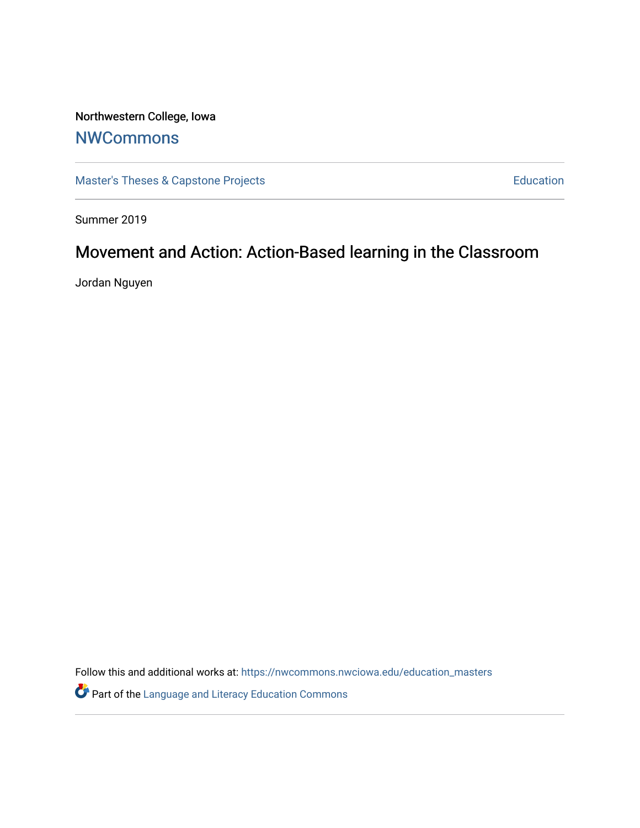# Northwestern College, Iowa

### **[NWCommons](https://nwcommons.nwciowa.edu/)**

[Master's Theses & Capstone Projects](https://nwcommons.nwciowa.edu/education_masters) **Education** Education

Summer 2019

## Movement and Action: Action-Based learning in the Classroom

Jordan Nguyen

Follow this and additional works at: [https://nwcommons.nwciowa.edu/education\\_masters](https://nwcommons.nwciowa.edu/education_masters?utm_source=nwcommons.nwciowa.edu%2Feducation_masters%2F173&utm_medium=PDF&utm_campaign=PDFCoverPages)

Part of the [Language and Literacy Education Commons](http://network.bepress.com/hgg/discipline/1380?utm_source=nwcommons.nwciowa.edu%2Feducation_masters%2F173&utm_medium=PDF&utm_campaign=PDFCoverPages)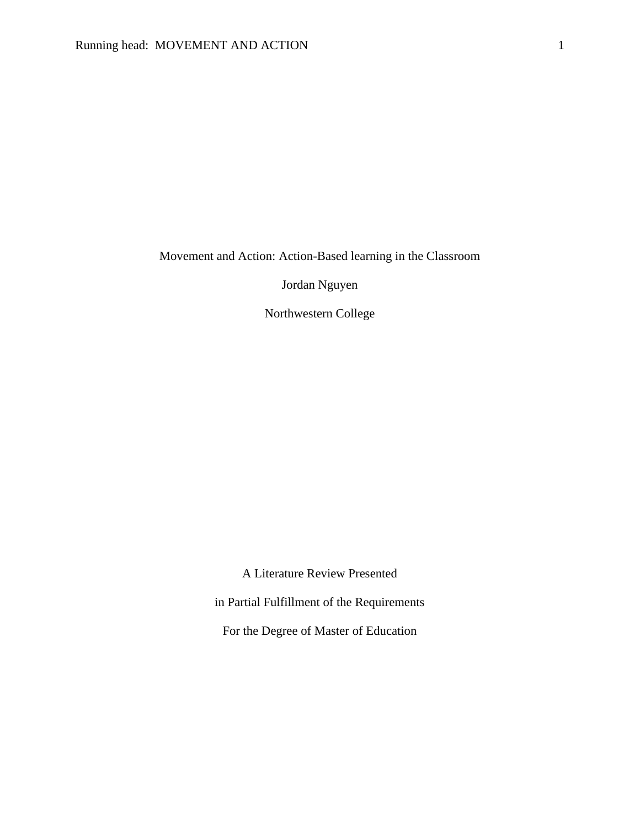Movement and Action: Action-Based learning in the Classroom

Jordan Nguyen

Northwestern College

A Literature Review Presented

in Partial Fulfillment of the Requirements

For the Degree of Master of Education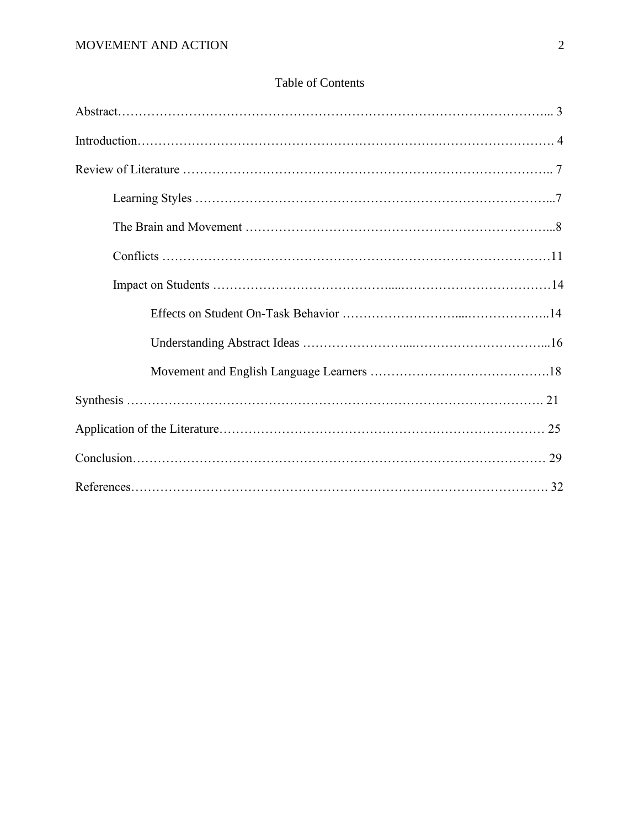### Table of Contents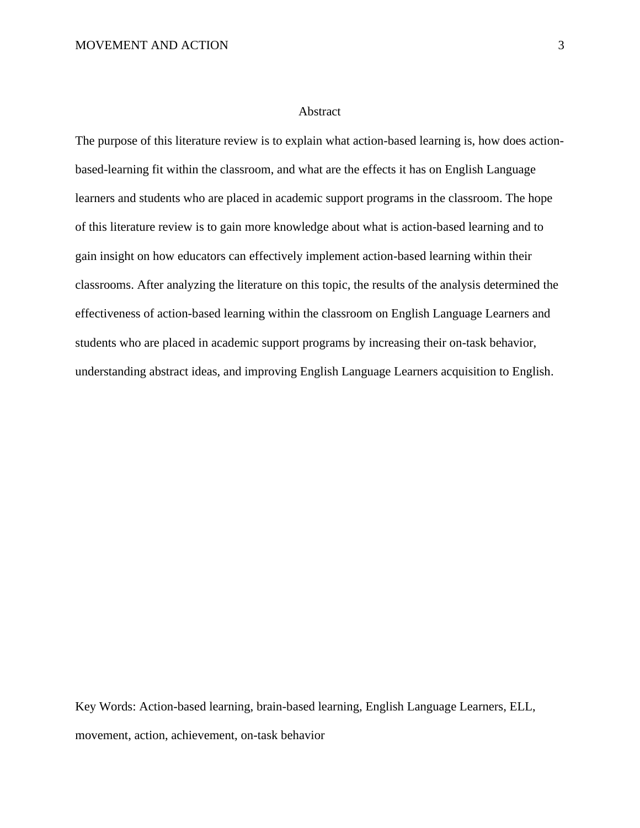#### Abstract

The purpose of this literature review is to explain what action-based learning is, how does actionbased-learning fit within the classroom, and what are the effects it has on English Language learners and students who are placed in academic support programs in the classroom. The hope of this literature review is to gain more knowledge about what is action-based learning and to gain insight on how educators can effectively implement action-based learning within their classrooms. After analyzing the literature on this topic, the results of the analysis determined the effectiveness of action-based learning within the classroom on English Language Learners and students who are placed in academic support programs by increasing their on-task behavior, understanding abstract ideas, and improving English Language Learners acquisition to English.

Key Words: Action-based learning, brain-based learning, English Language Learners, ELL, movement, action, achievement, on-task behavior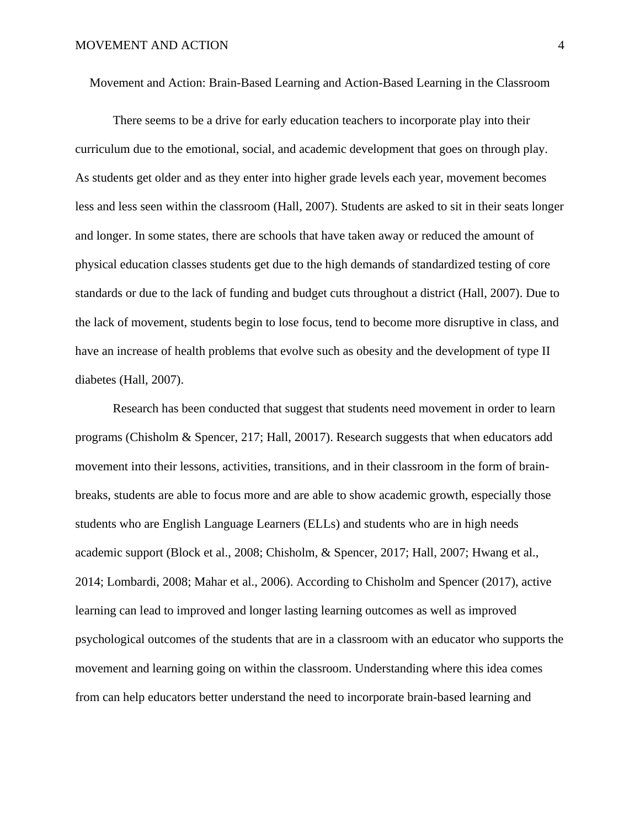Movement and Action: Brain-Based Learning and Action-Based Learning in the Classroom

There seems to be a drive for early education teachers to incorporate play into their curriculum due to the emotional, social, and academic development that goes on through play. As students get older and as they enter into higher grade levels each year, movement becomes less and less seen within the classroom (Hall, 2007). Students are asked to sit in their seats longer and longer. In some states, there are schools that have taken away or reduced the amount of physical education classes students get due to the high demands of standardized testing of core standards or due to the lack of funding and budget cuts throughout a district (Hall, 2007). Due to the lack of movement, students begin to lose focus, tend to become more disruptive in class, and have an increase of health problems that evolve such as obesity and the development of type II diabetes (Hall, 2007).

Research has been conducted that suggest that students need movement in order to learn programs (Chisholm & Spencer, 217; Hall, 20017). Research suggests that when educators add movement into their lessons, activities, transitions, and in their classroom in the form of brainbreaks, students are able to focus more and are able to show academic growth, especially those students who are English Language Learners (ELLs) and students who are in high needs academic support (Block et al., 2008; Chisholm, & Spencer, 2017; Hall, 2007; Hwang et al., 2014; Lombardi, 2008; Mahar et al., 2006). According to Chisholm and Spencer (2017), active learning can lead to improved and longer lasting learning outcomes as well as improved psychological outcomes of the students that are in a classroom with an educator who supports the movement and learning going on within the classroom. Understanding where this idea comes from can help educators better understand the need to incorporate brain-based learning and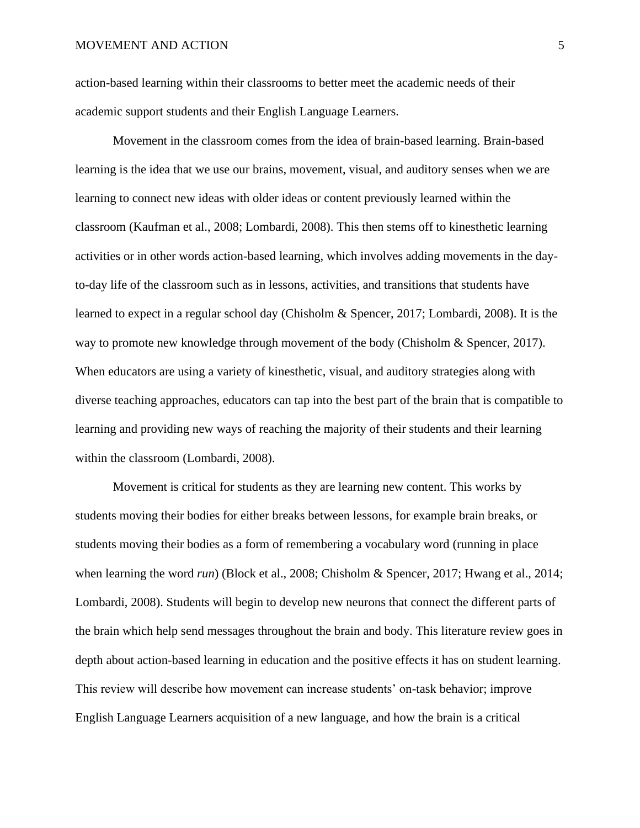action-based learning within their classrooms to better meet the academic needs of their academic support students and their English Language Learners.

Movement in the classroom comes from the idea of brain-based learning. Brain-based learning is the idea that we use our brains, movement, visual, and auditory senses when we are learning to connect new ideas with older ideas or content previously learned within the classroom (Kaufman et al., 2008; Lombardi, 2008). This then stems off to kinesthetic learning activities or in other words action-based learning, which involves adding movements in the dayto-day life of the classroom such as in lessons, activities, and transitions that students have learned to expect in a regular school day (Chisholm & Spencer, 2017; Lombardi, 2008). It is the way to promote new knowledge through movement of the body (Chisholm & Spencer, 2017). When educators are using a variety of kinesthetic, visual, and auditory strategies along with diverse teaching approaches, educators can tap into the best part of the brain that is compatible to learning and providing new ways of reaching the majority of their students and their learning within the classroom (Lombardi, 2008).

Movement is critical for students as they are learning new content. This works by students moving their bodies for either breaks between lessons, for example brain breaks, or students moving their bodies as a form of remembering a vocabulary word (running in place when learning the word *run*) (Block et al., 2008; Chisholm & Spencer, 2017; Hwang et al., 2014; Lombardi, 2008). Students will begin to develop new neurons that connect the different parts of the brain which help send messages throughout the brain and body. This literature review goes in depth about action-based learning in education and the positive effects it has on student learning. This review will describe how movement can increase students' on-task behavior; improve English Language Learners acquisition of a new language, and how the brain is a critical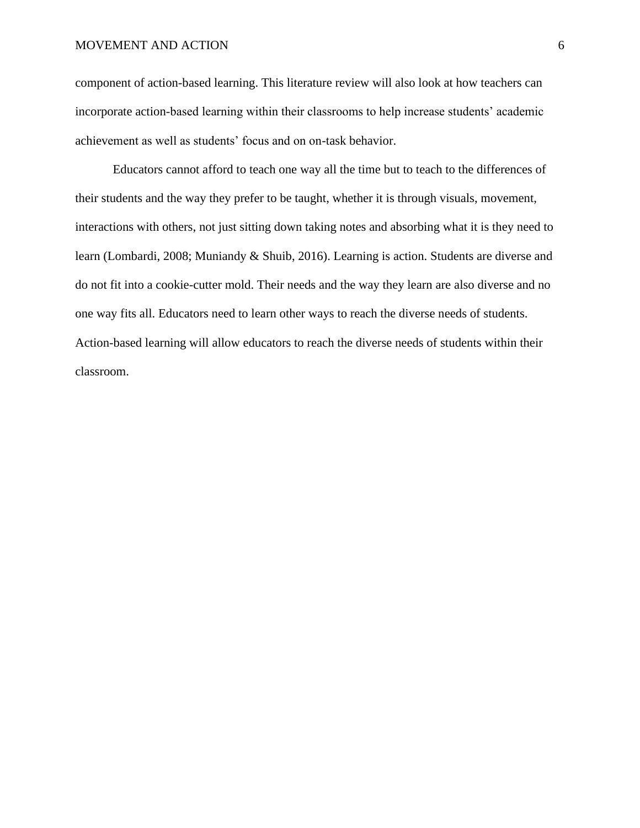component of action-based learning. This literature review will also look at how teachers can incorporate action-based learning within their classrooms to help increase students' academic achievement as well as students' focus and on on-task behavior.

Educators cannot afford to teach one way all the time but to teach to the differences of their students and the way they prefer to be taught, whether it is through visuals, movement, interactions with others, not just sitting down taking notes and absorbing what it is they need to learn (Lombardi, 2008; Muniandy & Shuib, 2016). Learning is action. Students are diverse and do not fit into a cookie-cutter mold. Their needs and the way they learn are also diverse and no one way fits all. Educators need to learn other ways to reach the diverse needs of students. Action-based learning will allow educators to reach the diverse needs of students within their classroom.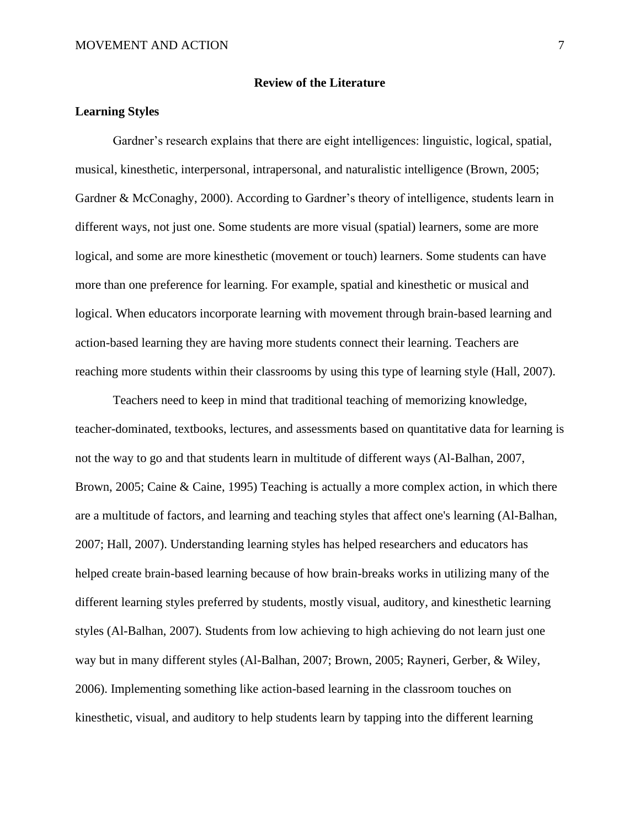#### **Review of the Literature**

#### **Learning Styles**

Gardner's research explains that there are eight intelligences: linguistic, logical, spatial, musical, kinesthetic, interpersonal, intrapersonal, and naturalistic intelligence (Brown, 2005; Gardner & McConaghy, 2000). According to Gardner's theory of intelligence, students learn in different ways, not just one. Some students are more visual (spatial) learners, some are more logical, and some are more kinesthetic (movement or touch) learners. Some students can have more than one preference for learning. For example, spatial and kinesthetic or musical and logical. When educators incorporate learning with movement through brain-based learning and action-based learning they are having more students connect their learning. Teachers are reaching more students within their classrooms by using this type of learning style (Hall, 2007).

Teachers need to keep in mind that traditional teaching of memorizing knowledge, teacher-dominated, textbooks, lectures, and assessments based on quantitative data for learning is not the way to go and that students learn in multitude of different ways (Al-Balhan, 2007, Brown, 2005; Caine & Caine, 1995) Teaching is actually a more complex action, in which there are a multitude of factors, and learning and teaching styles that affect one's learning (Al-Balhan, 2007; Hall, 2007). Understanding learning styles has helped researchers and educators has helped create brain-based learning because of how brain-breaks works in utilizing many of the different learning styles preferred by students, mostly visual, auditory, and kinesthetic learning styles (Al-Balhan, 2007). Students from low achieving to high achieving do not learn just one way but in many different styles (Al-Balhan, 2007; Brown, 2005; Rayneri, Gerber, & Wiley, 2006). Implementing something like action-based learning in the classroom touches on kinesthetic, visual, and auditory to help students learn by tapping into the different learning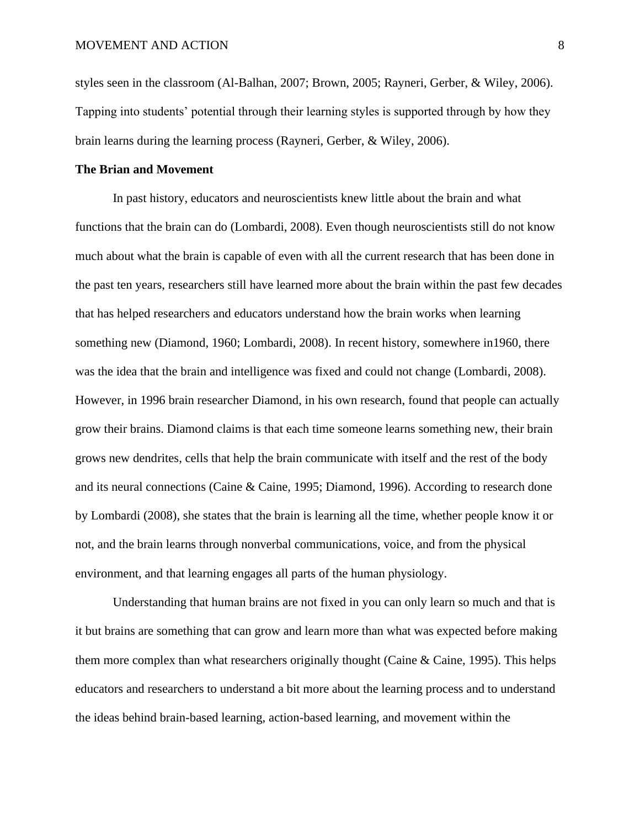styles seen in the classroom (Al-Balhan, 2007; Brown, 2005; Rayneri, Gerber, & Wiley, 2006). Tapping into students' potential through their learning styles is supported through by how they brain learns during the learning process (Rayneri, Gerber, & Wiley, 2006).

#### **The Brian and Movement**

In past history, educators and neuroscientists knew little about the brain and what functions that the brain can do (Lombardi, 2008). Even though neuroscientists still do not know much about what the brain is capable of even with all the current research that has been done in the past ten years, researchers still have learned more about the brain within the past few decades that has helped researchers and educators understand how the brain works when learning something new (Diamond, 1960; Lombardi, 2008). In recent history, somewhere in1960, there was the idea that the brain and intelligence was fixed and could not change (Lombardi, 2008). However, in 1996 brain researcher Diamond, in his own research, found that people can actually grow their brains. Diamond claims is that each time someone learns something new, their brain grows new dendrites, cells that help the brain communicate with itself and the rest of the body and its neural connections (Caine & Caine, 1995; Diamond, 1996). According to research done by Lombardi (2008), she states that the brain is learning all the time, whether people know it or not, and the brain learns through nonverbal communications, voice, and from the physical environment, and that learning engages all parts of the human physiology.

Understanding that human brains are not fixed in you can only learn so much and that is it but brains are something that can grow and learn more than what was expected before making them more complex than what researchers originally thought (Caine & Caine, 1995). This helps educators and researchers to understand a bit more about the learning process and to understand the ideas behind brain-based learning, action-based learning, and movement within the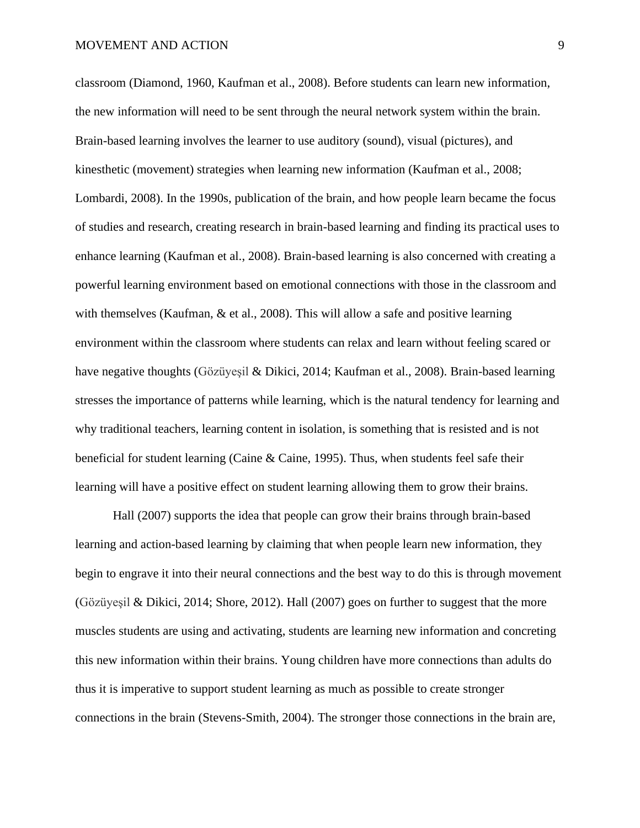classroom (Diamond, 1960, Kaufman et al., 2008). Before students can learn new information, the new information will need to be sent through the neural network system within the brain. Brain-based learning involves the learner to use auditory (sound), visual (pictures), and kinesthetic (movement) strategies when learning new information (Kaufman et al., 2008; Lombardi, 2008). In the 1990s, publication of the brain, and how people learn became the focus of studies and research, creating research in brain-based learning and finding its practical uses to enhance learning (Kaufman et al., 2008). Brain-based learning is also concerned with creating a powerful learning environment based on emotional connections with those in the classroom and with themselves (Kaufman, & et al., 2008). This will allow a safe and positive learning environment within the classroom where students can relax and learn without feeling scared or have negative thoughts (Gözüyeşil & Dikici, 2014; Kaufman et al., 2008). Brain-based learning stresses the importance of patterns while learning, which is the natural tendency for learning and why traditional teachers, learning content in isolation, is something that is resisted and is not beneficial for student learning (Caine & Caine, 1995). Thus, when students feel safe their learning will have a positive effect on student learning allowing them to grow their brains.

Hall (2007) supports the idea that people can grow their brains through brain-based learning and action-based learning by claiming that when people learn new information, they begin to engrave it into their neural connections and the best way to do this is through movement (Gözüyeşil & Dikici, 2014; Shore, 2012). Hall (2007) goes on further to suggest that the more muscles students are using and activating, students are learning new information and concreting this new information within their brains. Young children have more connections than adults do thus it is imperative to support student learning as much as possible to create stronger connections in the brain (Stevens-Smith, 2004). The stronger those connections in the brain are,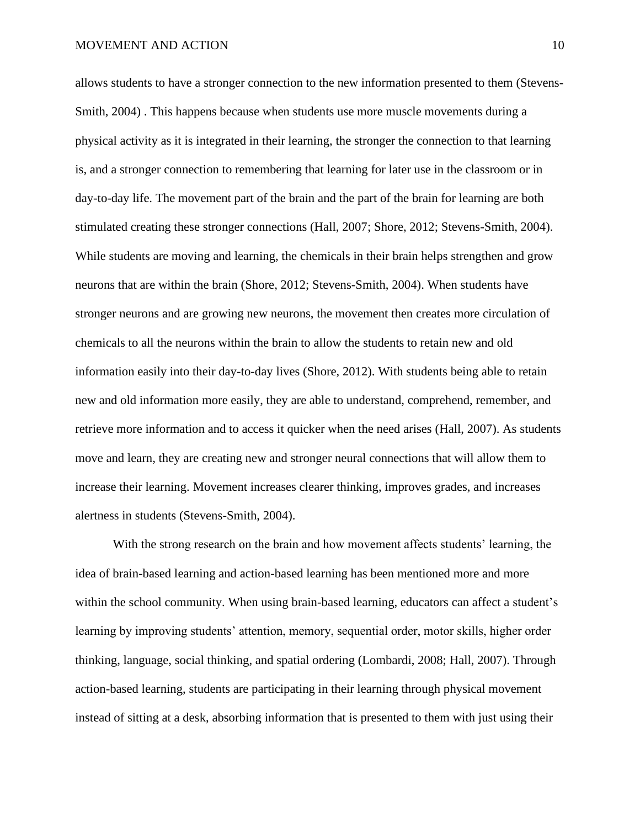allows students to have a stronger connection to the new information presented to them (Stevens-Smith, 2004) . This happens because when students use more muscle movements during a physical activity as it is integrated in their learning, the stronger the connection to that learning is, and a stronger connection to remembering that learning for later use in the classroom or in day-to-day life. The movement part of the brain and the part of the brain for learning are both stimulated creating these stronger connections (Hall, 2007; Shore, 2012; Stevens-Smith, 2004). While students are moving and learning, the chemicals in their brain helps strengthen and grow neurons that are within the brain (Shore, 2012; Stevens-Smith, 2004). When students have stronger neurons and are growing new neurons, the movement then creates more circulation of chemicals to all the neurons within the brain to allow the students to retain new and old information easily into their day-to-day lives (Shore, 2012). With students being able to retain new and old information more easily, they are able to understand, comprehend, remember, and retrieve more information and to access it quicker when the need arises (Hall, 2007). As students move and learn, they are creating new and stronger neural connections that will allow them to increase their learning. Movement increases clearer thinking, improves grades, and increases alertness in students (Stevens-Smith, 2004).

With the strong research on the brain and how movement affects students' learning, the idea of brain-based learning and action-based learning has been mentioned more and more within the school community. When using brain-based learning, educators can affect a student's learning by improving students' attention, memory, sequential order, motor skills, higher order thinking, language, social thinking, and spatial ordering (Lombardi, 2008; Hall, 2007). Through action-based learning, students are participating in their learning through physical movement instead of sitting at a desk, absorbing information that is presented to them with just using their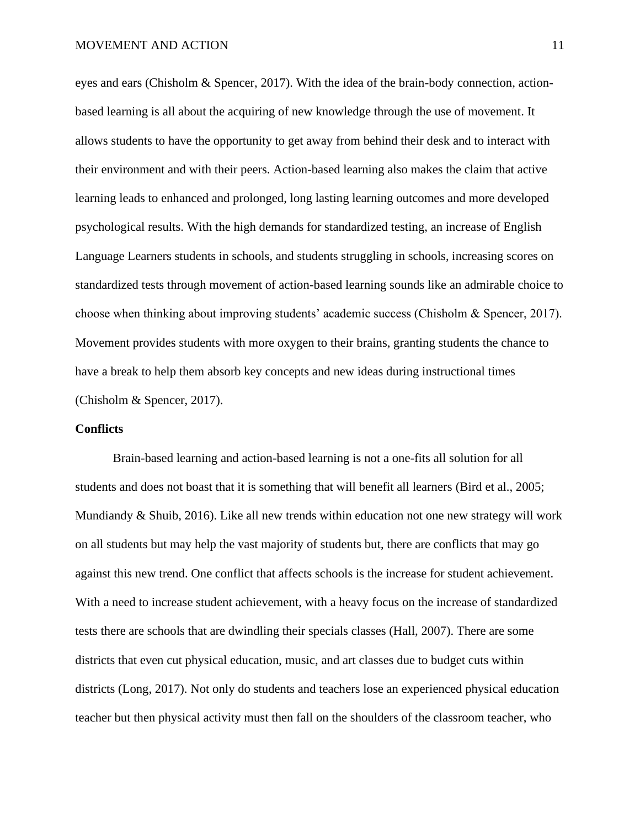eyes and ears (Chisholm & Spencer, 2017). With the idea of the brain-body connection, actionbased learning is all about the acquiring of new knowledge through the use of movement. It allows students to have the opportunity to get away from behind their desk and to interact with their environment and with their peers. Action-based learning also makes the claim that active learning leads to enhanced and prolonged, long lasting learning outcomes and more developed psychological results. With the high demands for standardized testing, an increase of English Language Learners students in schools, and students struggling in schools, increasing scores on standardized tests through movement of action-based learning sounds like an admirable choice to choose when thinking about improving students' academic success (Chisholm & Spencer, 2017). Movement provides students with more oxygen to their brains, granting students the chance to have a break to help them absorb key concepts and new ideas during instructional times (Chisholm & Spencer, 2017).

#### **Conflicts**

Brain-based learning and action-based learning is not a one-fits all solution for all students and does not boast that it is something that will benefit all learners (Bird et al., 2005; Mundiandy & Shuib, 2016). Like all new trends within education not one new strategy will work on all students but may help the vast majority of students but, there are conflicts that may go against this new trend. One conflict that affects schools is the increase for student achievement. With a need to increase student achievement, with a heavy focus on the increase of standardized tests there are schools that are dwindling their specials classes (Hall, 2007). There are some districts that even cut physical education, music, and art classes due to budget cuts within districts (Long, 2017). Not only do students and teachers lose an experienced physical education teacher but then physical activity must then fall on the shoulders of the classroom teacher, who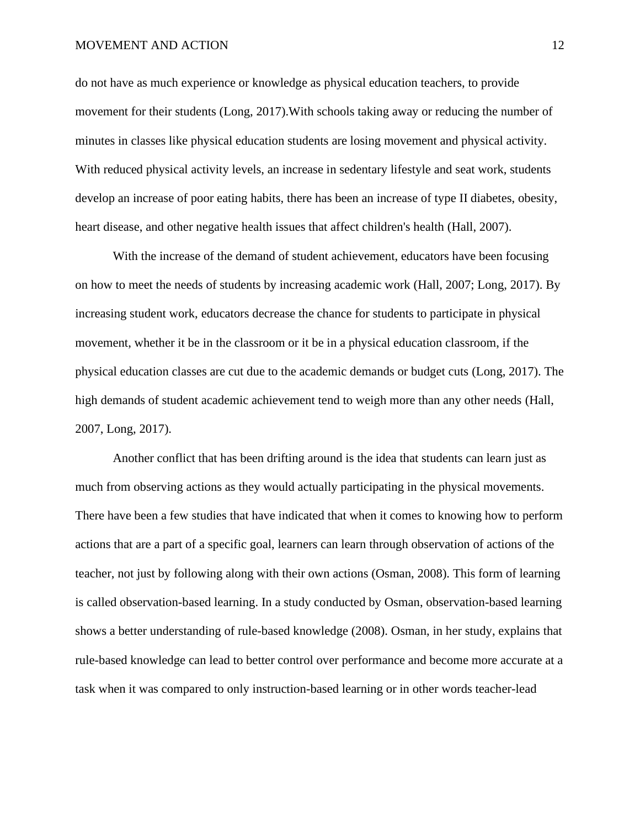do not have as much experience or knowledge as physical education teachers, to provide movement for their students (Long, 2017).With schools taking away or reducing the number of minutes in classes like physical education students are losing movement and physical activity. With reduced physical activity levels, an increase in sedentary lifestyle and seat work, students develop an increase of poor eating habits, there has been an increase of type II diabetes, obesity, heart disease, and other negative health issues that affect children's health (Hall, 2007).

With the increase of the demand of student achievement, educators have been focusing on how to meet the needs of students by increasing academic work (Hall, 2007; Long, 2017). By increasing student work, educators decrease the chance for students to participate in physical movement, whether it be in the classroom or it be in a physical education classroom, if the physical education classes are cut due to the academic demands or budget cuts (Long, 2017). The high demands of student academic achievement tend to weigh more than any other needs (Hall, 2007, Long, 2017).

Another conflict that has been drifting around is the idea that students can learn just as much from observing actions as they would actually participating in the physical movements. There have been a few studies that have indicated that when it comes to knowing how to perform actions that are a part of a specific goal, learners can learn through observation of actions of the teacher, not just by following along with their own actions (Osman, 2008). This form of learning is called observation-based learning. In a study conducted by Osman, observation-based learning shows a better understanding of rule-based knowledge (2008). Osman, in her study, explains that rule-based knowledge can lead to better control over performance and become more accurate at a task when it was compared to only instruction-based learning or in other words teacher-lead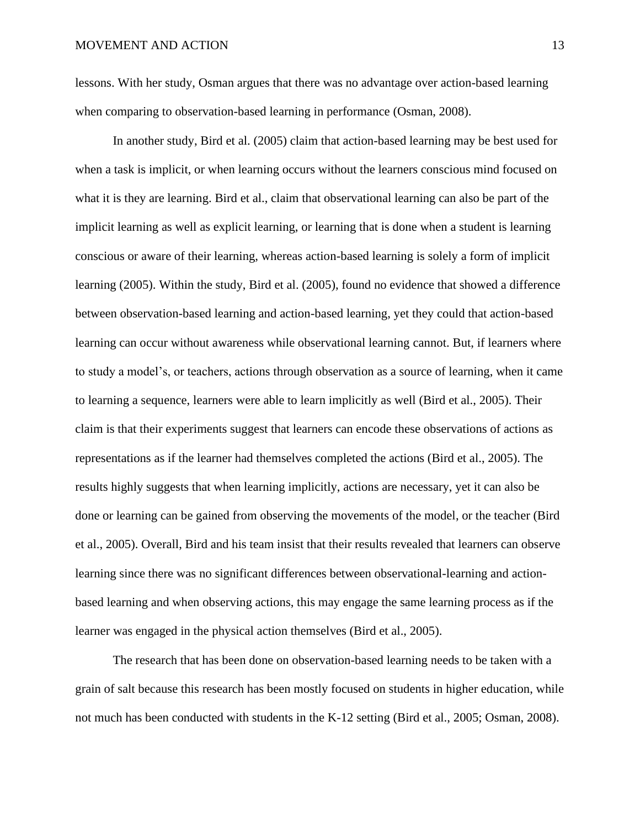lessons. With her study, Osman argues that there was no advantage over action-based learning when comparing to observation-based learning in performance (Osman, 2008).

In another study, Bird et al. (2005) claim that action-based learning may be best used for when a task is implicit, or when learning occurs without the learners conscious mind focused on what it is they are learning. Bird et al., claim that observational learning can also be part of the implicit learning as well as explicit learning, or learning that is done when a student is learning conscious or aware of their learning, whereas action-based learning is solely a form of implicit learning (2005). Within the study, Bird et al. (2005), found no evidence that showed a difference between observation-based learning and action-based learning, yet they could that action-based learning can occur without awareness while observational learning cannot. But, if learners where to study a model's, or teachers, actions through observation as a source of learning, when it came to learning a sequence, learners were able to learn implicitly as well (Bird et al., 2005). Their claim is that their experiments suggest that learners can encode these observations of actions as representations as if the learner had themselves completed the actions (Bird et al., 2005). The results highly suggests that when learning implicitly, actions are necessary, yet it can also be done or learning can be gained from observing the movements of the model, or the teacher (Bird et al., 2005). Overall, Bird and his team insist that their results revealed that learners can observe learning since there was no significant differences between observational-learning and actionbased learning and when observing actions, this may engage the same learning process as if the learner was engaged in the physical action themselves (Bird et al., 2005).

The research that has been done on observation-based learning needs to be taken with a grain of salt because this research has been mostly focused on students in higher education, while not much has been conducted with students in the K-12 setting (Bird et al., 2005; Osman, 2008).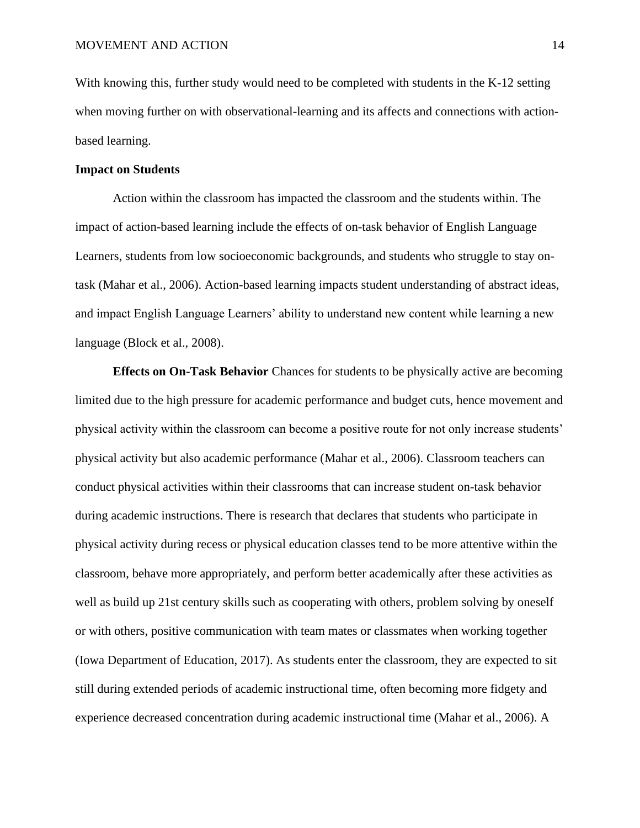With knowing this, further study would need to be completed with students in the K-12 setting when moving further on with observational-learning and its affects and connections with actionbased learning.

#### **Impact on Students**

Action within the classroom has impacted the classroom and the students within. The impact of action-based learning include the effects of on-task behavior of English Language Learners, students from low socioeconomic backgrounds, and students who struggle to stay ontask (Mahar et al., 2006). Action-based learning impacts student understanding of abstract ideas, and impact English Language Learners' ability to understand new content while learning a new language (Block et al., 2008).

**Effects on On-Task Behavior** Chances for students to be physically active are becoming limited due to the high pressure for academic performance and budget cuts, hence movement and physical activity within the classroom can become a positive route for not only increase students' physical activity but also academic performance (Mahar et al., 2006). Classroom teachers can conduct physical activities within their classrooms that can increase student on-task behavior during academic instructions. There is research that declares that students who participate in physical activity during recess or physical education classes tend to be more attentive within the classroom, behave more appropriately, and perform better academically after these activities as well as build up 21st century skills such as cooperating with others, problem solving by oneself or with others, positive communication with team mates or classmates when working together (Iowa Department of Education, 2017). As students enter the classroom, they are expected to sit still during extended periods of academic instructional time, often becoming more fidgety and experience decreased concentration during academic instructional time (Mahar et al., 2006). A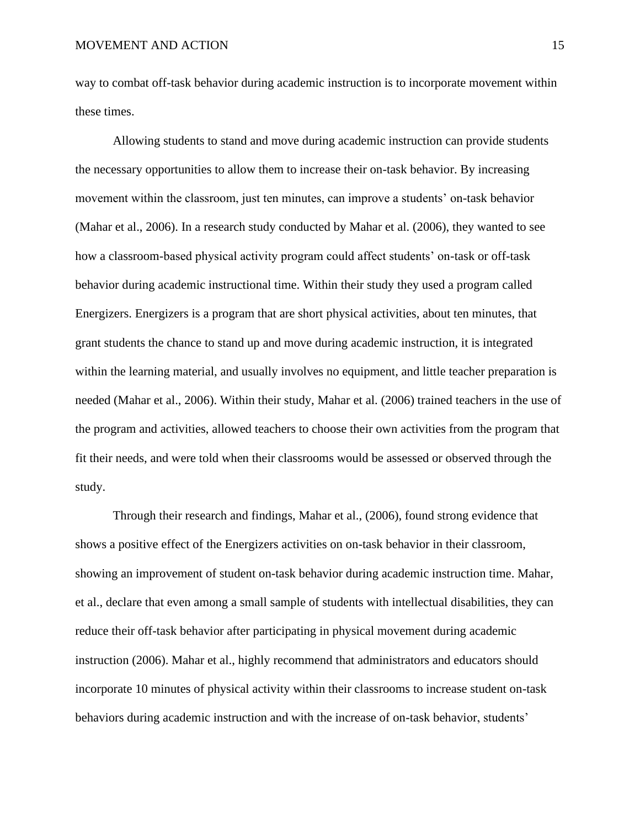way to combat off-task behavior during academic instruction is to incorporate movement within these times.

Allowing students to stand and move during academic instruction can provide students the necessary opportunities to allow them to increase their on-task behavior. By increasing movement within the classroom, just ten minutes, can improve a students' on-task behavior (Mahar et al., 2006). In a research study conducted by Mahar et al. (2006), they wanted to see how a classroom-based physical activity program could affect students' on-task or off-task behavior during academic instructional time. Within their study they used a program called Energizers. Energizers is a program that are short physical activities, about ten minutes, that grant students the chance to stand up and move during academic instruction, it is integrated within the learning material, and usually involves no equipment, and little teacher preparation is needed (Mahar et al., 2006). Within their study, Mahar et al. (2006) trained teachers in the use of the program and activities, allowed teachers to choose their own activities from the program that fit their needs, and were told when their classrooms would be assessed or observed through the study.

Through their research and findings, Mahar et al., (2006), found strong evidence that shows a positive effect of the Energizers activities on on-task behavior in their classroom, showing an improvement of student on-task behavior during academic instruction time. Mahar, et al., declare that even among a small sample of students with intellectual disabilities, they can reduce their off-task behavior after participating in physical movement during academic instruction (2006). Mahar et al., highly recommend that administrators and educators should incorporate 10 minutes of physical activity within their classrooms to increase student on-task behaviors during academic instruction and with the increase of on-task behavior, students'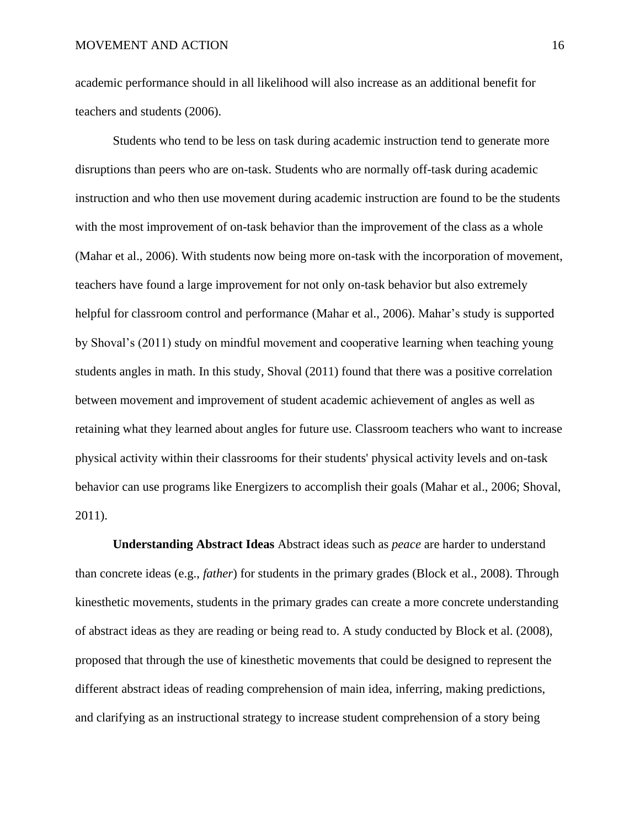academic performance should in all likelihood will also increase as an additional benefit for teachers and students (2006).

Students who tend to be less on task during academic instruction tend to generate more disruptions than peers who are on-task. Students who are normally off-task during academic instruction and who then use movement during academic instruction are found to be the students with the most improvement of on-task behavior than the improvement of the class as a whole (Mahar et al., 2006). With students now being more on-task with the incorporation of movement, teachers have found a large improvement for not only on-task behavior but also extremely helpful for classroom control and performance (Mahar et al., 2006). Mahar's study is supported by Shoval's (2011) study on mindful movement and cooperative learning when teaching young students angles in math. In this study, Shoval (2011) found that there was a positive correlation between movement and improvement of student academic achievement of angles as well as retaining what they learned about angles for future use. Classroom teachers who want to increase physical activity within their classrooms for their students' physical activity levels and on-task behavior can use programs like Energizers to accomplish their goals (Mahar et al., 2006; Shoval, 2011).

**Understanding Abstract Ideas** Abstract ideas such as *peace* are harder to understand than concrete ideas (e.g., *father*) for students in the primary grades (Block et al., 2008). Through kinesthetic movements, students in the primary grades can create a more concrete understanding of abstract ideas as they are reading or being read to. A study conducted by Block et al. (2008), proposed that through the use of kinesthetic movements that could be designed to represent the different abstract ideas of reading comprehension of main idea, inferring, making predictions, and clarifying as an instructional strategy to increase student comprehension of a story being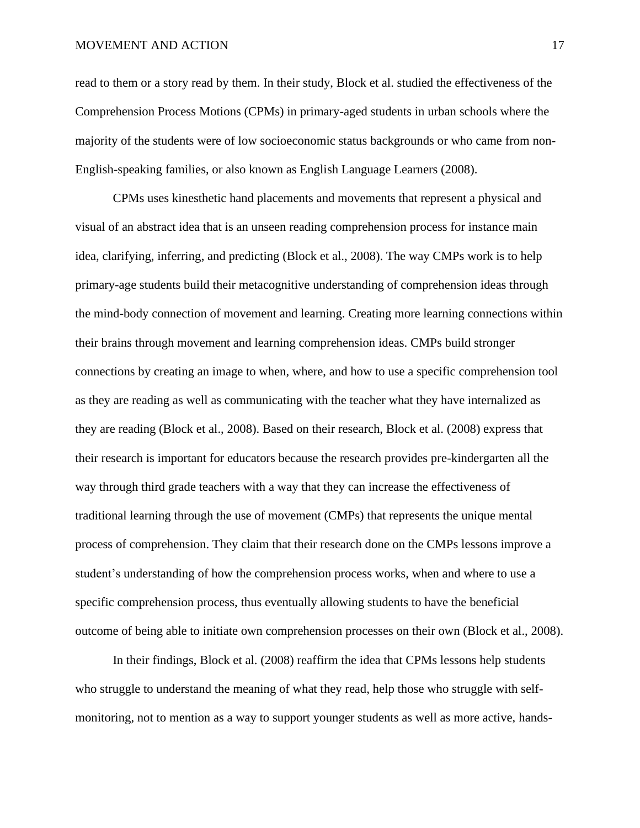read to them or a story read by them. In their study, Block et al. studied the effectiveness of the Comprehension Process Motions (CPMs) in primary-aged students in urban schools where the majority of the students were of low socioeconomic status backgrounds or who came from non-English-speaking families, or also known as English Language Learners (2008).

CPMs uses kinesthetic hand placements and movements that represent a physical and visual of an abstract idea that is an unseen reading comprehension process for instance main idea, clarifying, inferring, and predicting (Block et al., 2008). The way CMPs work is to help primary-age students build their metacognitive understanding of comprehension ideas through the mind-body connection of movement and learning. Creating more learning connections within their brains through movement and learning comprehension ideas. CMPs build stronger connections by creating an image to when, where, and how to use a specific comprehension tool as they are reading as well as communicating with the teacher what they have internalized as they are reading (Block et al., 2008). Based on their research, Block et al. (2008) express that their research is important for educators because the research provides pre-kindergarten all the way through third grade teachers with a way that they can increase the effectiveness of traditional learning through the use of movement (CMPs) that represents the unique mental process of comprehension. They claim that their research done on the CMPs lessons improve a student's understanding of how the comprehension process works, when and where to use a specific comprehension process, thus eventually allowing students to have the beneficial outcome of being able to initiate own comprehension processes on their own (Block et al., 2008).

In their findings, Block et al. (2008) reaffirm the idea that CPMs lessons help students who struggle to understand the meaning of what they read, help those who struggle with selfmonitoring, not to mention as a way to support younger students as well as more active, hands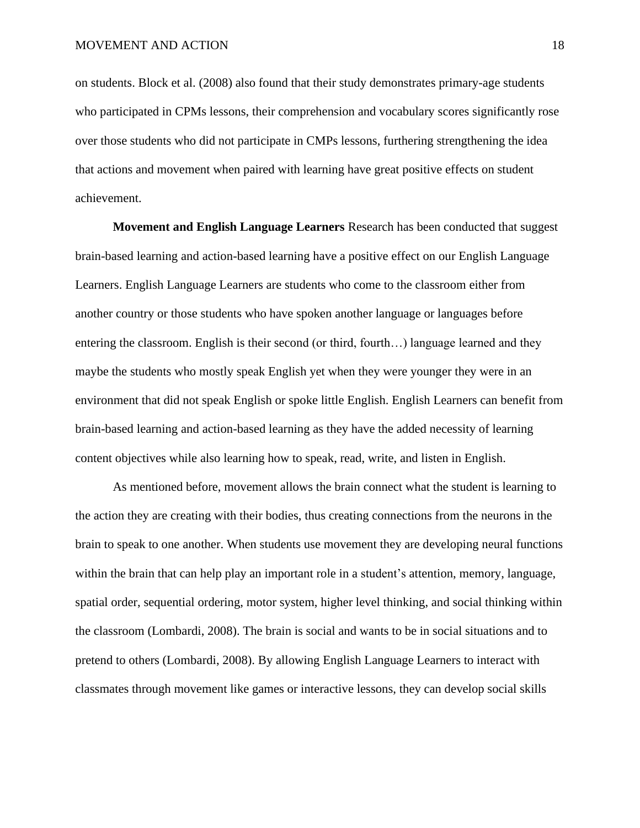on students. Block et al. (2008) also found that their study demonstrates primary-age students who participated in CPMs lessons, their comprehension and vocabulary scores significantly rose over those students who did not participate in CMPs lessons, furthering strengthening the idea that actions and movement when paired with learning have great positive effects on student achievement.

**Movement and English Language Learners** Research has been conducted that suggest brain-based learning and action-based learning have a positive effect on our English Language Learners. English Language Learners are students who come to the classroom either from another country or those students who have spoken another language or languages before entering the classroom. English is their second (or third, fourth…) language learned and they maybe the students who mostly speak English yet when they were younger they were in an environment that did not speak English or spoke little English. English Learners can benefit from brain-based learning and action-based learning as they have the added necessity of learning content objectives while also learning how to speak, read, write, and listen in English.

As mentioned before, movement allows the brain connect what the student is learning to the action they are creating with their bodies, thus creating connections from the neurons in the brain to speak to one another. When students use movement they are developing neural functions within the brain that can help play an important role in a student's attention, memory, language, spatial order, sequential ordering, motor system, higher level thinking, and social thinking within the classroom (Lombardi, 2008). The brain is social and wants to be in social situations and to pretend to others (Lombardi, 2008). By allowing English Language Learners to interact with classmates through movement like games or interactive lessons, they can develop social skills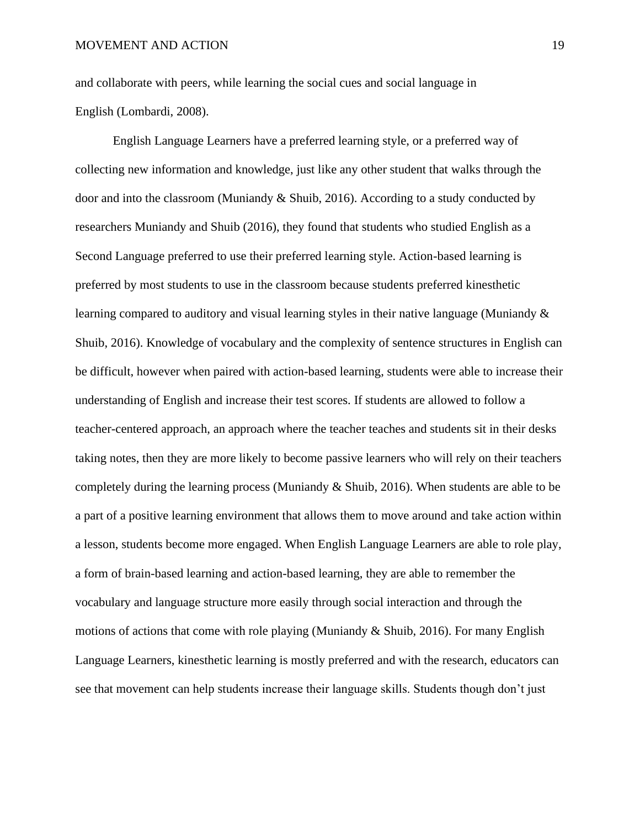and collaborate with peers, while learning the social cues and social language in English (Lombardi, 2008).

English Language Learners have a preferred learning style, or a preferred way of collecting new information and knowledge, just like any other student that walks through the door and into the classroom (Muniandy & Shuib, 2016). According to a study conducted by researchers Muniandy and Shuib (2016), they found that students who studied English as a Second Language preferred to use their preferred learning style. Action-based learning is preferred by most students to use in the classroom because students preferred kinesthetic learning compared to auditory and visual learning styles in their native language (Muniandy & Shuib, 2016). Knowledge of vocabulary and the complexity of sentence structures in English can be difficult, however when paired with action-based learning, students were able to increase their understanding of English and increase their test scores. If students are allowed to follow a teacher-centered approach, an approach where the teacher teaches and students sit in their desks taking notes, then they are more likely to become passive learners who will rely on their teachers completely during the learning process (Muniandy  $\&$  Shuib, 2016). When students are able to be a part of a positive learning environment that allows them to move around and take action within a lesson, students become more engaged. When English Language Learners are able to role play, a form of brain-based learning and action-based learning, they are able to remember the vocabulary and language structure more easily through social interaction and through the motions of actions that come with role playing (Muniandy  $\&$  Shuib, 2016). For many English Language Learners, kinesthetic learning is mostly preferred and with the research, educators can see that movement can help students increase their language skills. Students though don't just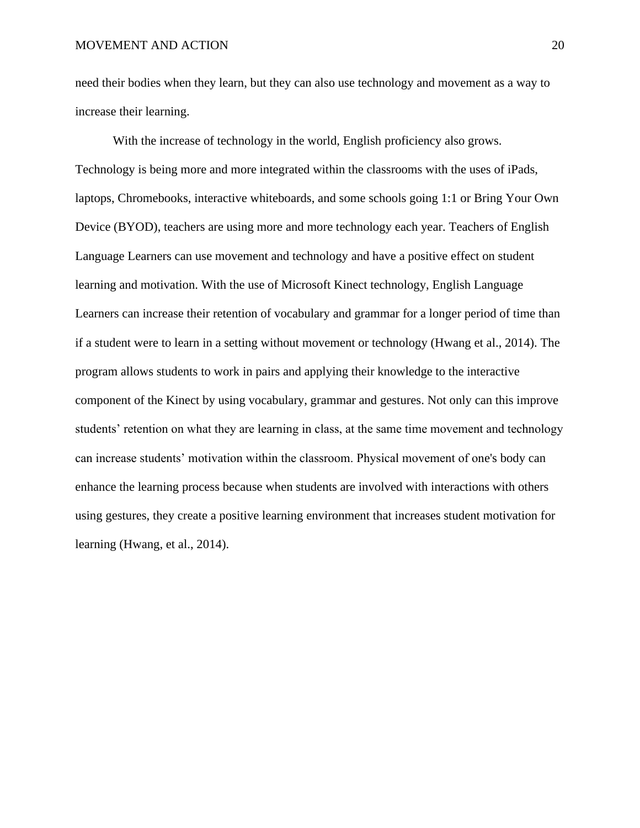need their bodies when they learn, but they can also use technology and movement as a way to increase their learning.

With the increase of technology in the world, English proficiency also grows. Technology is being more and more integrated within the classrooms with the uses of iPads, laptops, Chromebooks, interactive whiteboards, and some schools going 1:1 or Bring Your Own Device (BYOD), teachers are using more and more technology each year. Teachers of English Language Learners can use movement and technology and have a positive effect on student learning and motivation. With the use of Microsoft Kinect technology, English Language Learners can increase their retention of vocabulary and grammar for a longer period of time than if a student were to learn in a setting without movement or technology (Hwang et al., 2014). The program allows students to work in pairs and applying their knowledge to the interactive component of the Kinect by using vocabulary, grammar and gestures. Not only can this improve students' retention on what they are learning in class, at the same time movement and technology can increase students' motivation within the classroom. Physical movement of one's body can enhance the learning process because when students are involved with interactions with others using gestures, they create a positive learning environment that increases student motivation for learning (Hwang, et al., 2014).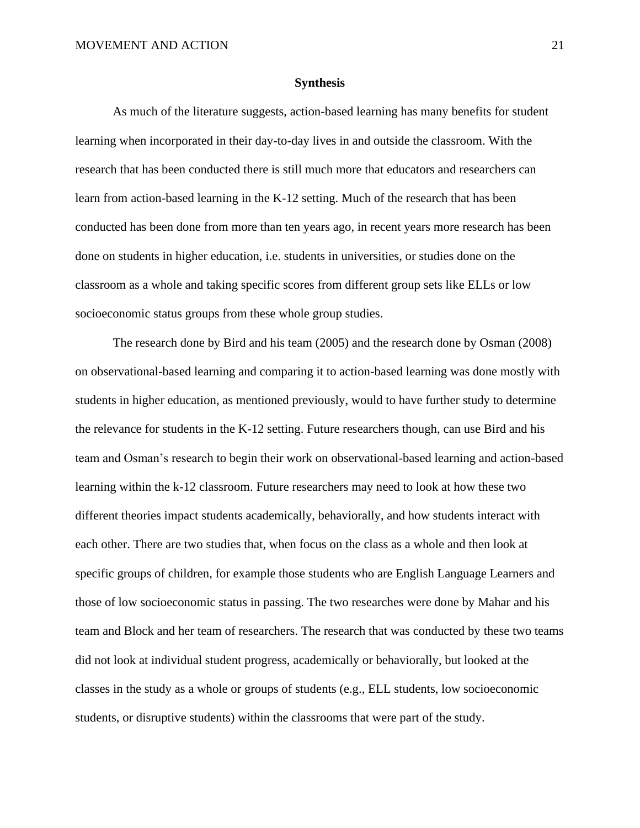#### **Synthesis**

As much of the literature suggests, action-based learning has many benefits for student learning when incorporated in their day-to-day lives in and outside the classroom. With the research that has been conducted there is still much more that educators and researchers can learn from action-based learning in the K-12 setting. Much of the research that has been conducted has been done from more than ten years ago, in recent years more research has been done on students in higher education, i.e. students in universities, or studies done on the classroom as a whole and taking specific scores from different group sets like ELLs or low socioeconomic status groups from these whole group studies.

The research done by Bird and his team (2005) and the research done by Osman (2008) on observational-based learning and comparing it to action-based learning was done mostly with students in higher education, as mentioned previously, would to have further study to determine the relevance for students in the K-12 setting. Future researchers though, can use Bird and his team and Osman's research to begin their work on observational-based learning and action-based learning within the k-12 classroom. Future researchers may need to look at how these two different theories impact students academically, behaviorally, and how students interact with each other. There are two studies that, when focus on the class as a whole and then look at specific groups of children, for example those students who are English Language Learners and those of low socioeconomic status in passing. The two researches were done by Mahar and his team and Block and her team of researchers. The research that was conducted by these two teams did not look at individual student progress, academically or behaviorally, but looked at the classes in the study as a whole or groups of students (e.g., ELL students, low socioeconomic students, or disruptive students) within the classrooms that were part of the study.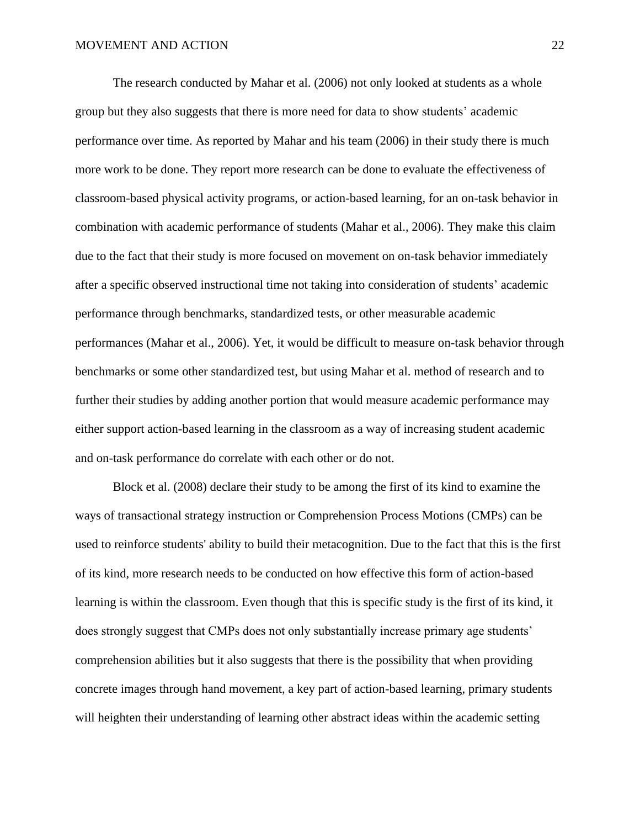The research conducted by Mahar et al. (2006) not only looked at students as a whole group but they also suggests that there is more need for data to show students' academic performance over time. As reported by Mahar and his team (2006) in their study there is much more work to be done. They report more research can be done to evaluate the effectiveness of classroom-based physical activity programs, or action-based learning, for an on-task behavior in combination with academic performance of students (Mahar et al., 2006). They make this claim due to the fact that their study is more focused on movement on on-task behavior immediately after a specific observed instructional time not taking into consideration of students' academic performance through benchmarks, standardized tests, or other measurable academic performances (Mahar et al., 2006). Yet, it would be difficult to measure on-task behavior through benchmarks or some other standardized test, but using Mahar et al. method of research and to further their studies by adding another portion that would measure academic performance may either support action-based learning in the classroom as a way of increasing student academic and on-task performance do correlate with each other or do not.

Block et al. (2008) declare their study to be among the first of its kind to examine the ways of transactional strategy instruction or Comprehension Process Motions (CMPs) can be used to reinforce students' ability to build their metacognition. Due to the fact that this is the first of its kind, more research needs to be conducted on how effective this form of action-based learning is within the classroom. Even though that this is specific study is the first of its kind, it does strongly suggest that CMPs does not only substantially increase primary age students' comprehension abilities but it also suggests that there is the possibility that when providing concrete images through hand movement, a key part of action-based learning, primary students will heighten their understanding of learning other abstract ideas within the academic setting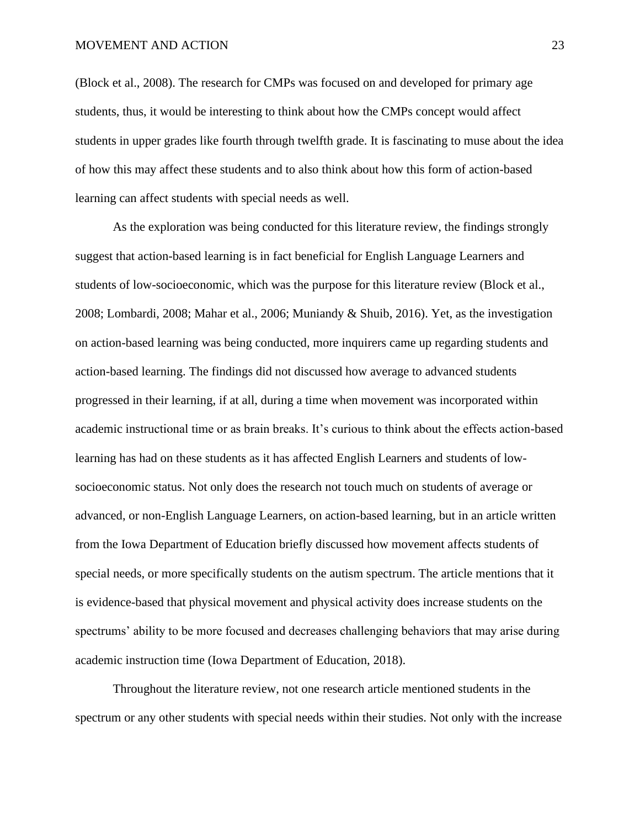(Block et al., 2008). The research for CMPs was focused on and developed for primary age students, thus, it would be interesting to think about how the CMPs concept would affect students in upper grades like fourth through twelfth grade. It is fascinating to muse about the idea of how this may affect these students and to also think about how this form of action-based learning can affect students with special needs as well.

As the exploration was being conducted for this literature review, the findings strongly suggest that action-based learning is in fact beneficial for English Language Learners and students of low-socioeconomic, which was the purpose for this literature review (Block et al., 2008; Lombardi, 2008; Mahar et al., 2006; Muniandy & Shuib, 2016). Yet, as the investigation on action-based learning was being conducted, more inquirers came up regarding students and action-based learning. The findings did not discussed how average to advanced students progressed in their learning, if at all, during a time when movement was incorporated within academic instructional time or as brain breaks. It's curious to think about the effects action-based learning has had on these students as it has affected English Learners and students of lowsocioeconomic status. Not only does the research not touch much on students of average or advanced, or non-English Language Learners, on action-based learning, but in an article written from the Iowa Department of Education briefly discussed how movement affects students of special needs, or more specifically students on the autism spectrum. The article mentions that it is evidence-based that physical movement and physical activity does increase students on the spectrums' ability to be more focused and decreases challenging behaviors that may arise during academic instruction time (Iowa Department of Education, 2018).

Throughout the literature review, not one research article mentioned students in the spectrum or any other students with special needs within their studies. Not only with the increase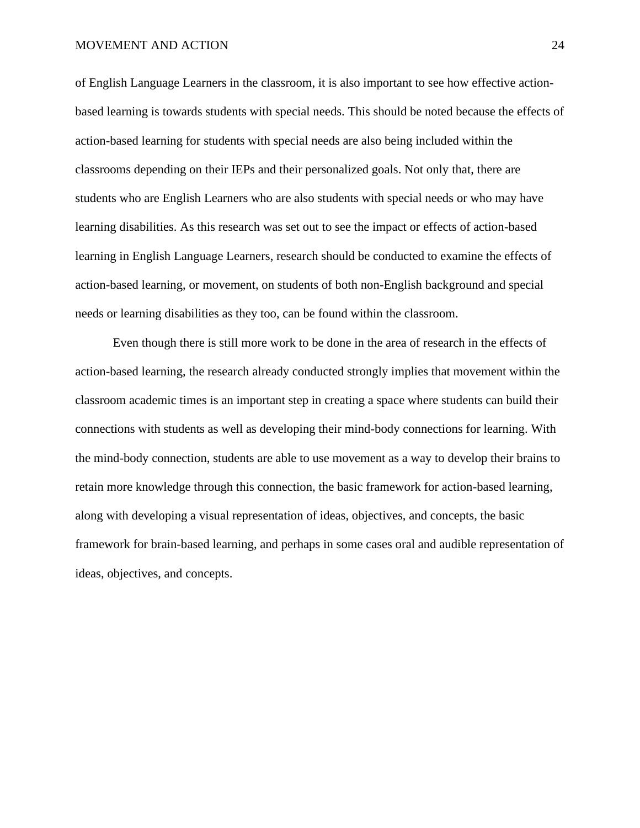of English Language Learners in the classroom, it is also important to see how effective actionbased learning is towards students with special needs. This should be noted because the effects of action-based learning for students with special needs are also being included within the classrooms depending on their IEPs and their personalized goals. Not only that, there are students who are English Learners who are also students with special needs or who may have learning disabilities. As this research was set out to see the impact or effects of action-based learning in English Language Learners, research should be conducted to examine the effects of action-based learning, or movement, on students of both non-English background and special needs or learning disabilities as they too, can be found within the classroom.

Even though there is still more work to be done in the area of research in the effects of action-based learning, the research already conducted strongly implies that movement within the classroom academic times is an important step in creating a space where students can build their connections with students as well as developing their mind-body connections for learning. With the mind-body connection, students are able to use movement as a way to develop their brains to retain more knowledge through this connection, the basic framework for action-based learning, along with developing a visual representation of ideas, objectives, and concepts, the basic framework for brain-based learning, and perhaps in some cases oral and audible representation of ideas, objectives, and concepts.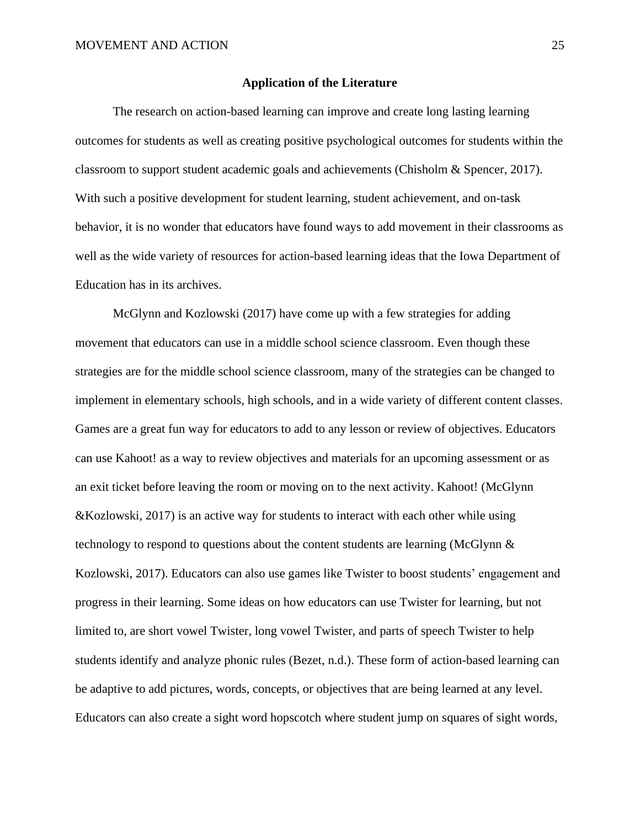#### **Application of the Literature**

The research on action-based learning can improve and create long lasting learning outcomes for students as well as creating positive psychological outcomes for students within the classroom to support student academic goals and achievements (Chisholm & Spencer, 2017). With such a positive development for student learning, student achievement, and on-task behavior, it is no wonder that educators have found ways to add movement in their classrooms as well as the wide variety of resources for action-based learning ideas that the Iowa Department of Education has in its archives.

McGlynn and Kozlowski (2017) have come up with a few strategies for adding movement that educators can use in a middle school science classroom. Even though these strategies are for the middle school science classroom, many of the strategies can be changed to implement in elementary schools, high schools, and in a wide variety of different content classes. Games are a great fun way for educators to add to any lesson or review of objectives. Educators can use Kahoot! as a way to review objectives and materials for an upcoming assessment or as an exit ticket before leaving the room or moving on to the next activity. Kahoot! (McGlynn &Kozlowski, 2017) is an active way for students to interact with each other while using technology to respond to questions about the content students are learning (McGlynn  $\&$ Kozlowski, 2017). Educators can also use games like Twister to boost students' engagement and progress in their learning. Some ideas on how educators can use Twister for learning, but not limited to, are short vowel Twister, long vowel Twister, and parts of speech Twister to help students identify and analyze phonic rules (Bezet, n.d.). These form of action-based learning can be adaptive to add pictures, words, concepts, or objectives that are being learned at any level. Educators can also create a sight word hopscotch where student jump on squares of sight words,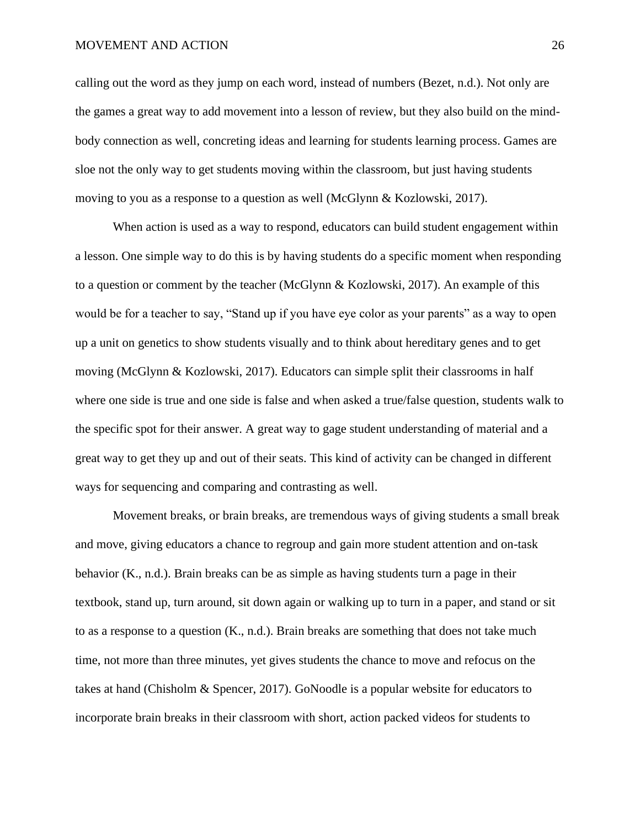calling out the word as they jump on each word, instead of numbers (Bezet, n.d.). Not only are the games a great way to add movement into a lesson of review, but they also build on the mindbody connection as well, concreting ideas and learning for students learning process. Games are sloe not the only way to get students moving within the classroom, but just having students moving to you as a response to a question as well (McGlynn & Kozlowski, 2017).

When action is used as a way to respond, educators can build student engagement within a lesson. One simple way to do this is by having students do a specific moment when responding to a question or comment by the teacher (McGlynn & Kozlowski, 2017). An example of this would be for a teacher to say, "Stand up if you have eye color as your parents" as a way to open up a unit on genetics to show students visually and to think about hereditary genes and to get moving (McGlynn & Kozlowski, 2017). Educators can simple split their classrooms in half where one side is true and one side is false and when asked a true/false question, students walk to the specific spot for their answer. A great way to gage student understanding of material and a great way to get they up and out of their seats. This kind of activity can be changed in different ways for sequencing and comparing and contrasting as well.

Movement breaks, or brain breaks, are tremendous ways of giving students a small break and move, giving educators a chance to regroup and gain more student attention and on-task behavior (K., n.d.). Brain breaks can be as simple as having students turn a page in their textbook, stand up, turn around, sit down again or walking up to turn in a paper, and stand or sit to as a response to a question (K., n.d.). Brain breaks are something that does not take much time, not more than three minutes, yet gives students the chance to move and refocus on the takes at hand (Chisholm & Spencer, 2017). GoNoodle is a popular website for educators to incorporate brain breaks in their classroom with short, action packed videos for students to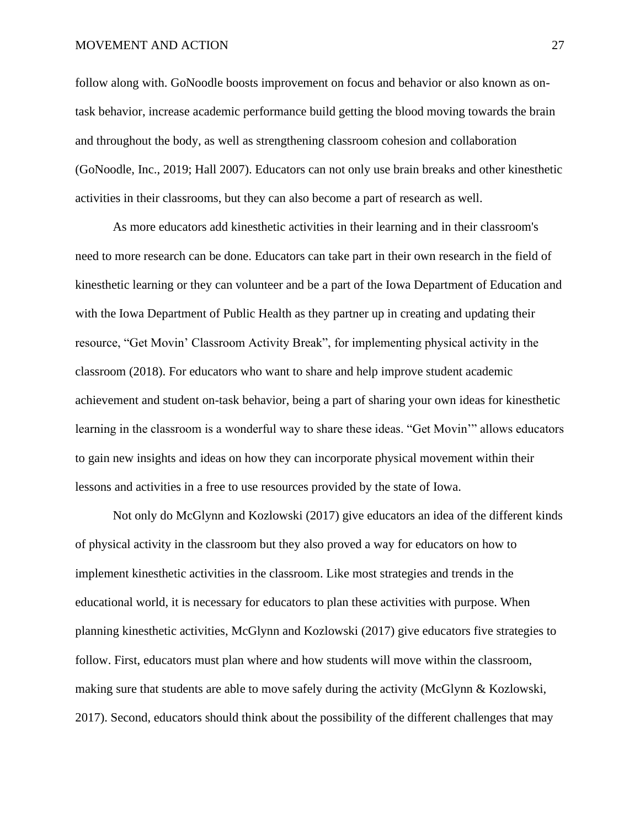follow along with. GoNoodle boosts improvement on focus and behavior or also known as ontask behavior, increase academic performance build getting the blood moving towards the brain and throughout the body, as well as strengthening classroom cohesion and collaboration (GoNoodle, Inc., 2019; Hall 2007). Educators can not only use brain breaks and other kinesthetic activities in their classrooms, but they can also become a part of research as well.

As more educators add kinesthetic activities in their learning and in their classroom's need to more research can be done. Educators can take part in their own research in the field of kinesthetic learning or they can volunteer and be a part of the Iowa Department of Education and with the Iowa Department of Public Health as they partner up in creating and updating their resource, "Get Movin' Classroom Activity Break", for implementing physical activity in the classroom (2018). For educators who want to share and help improve student academic achievement and student on-task behavior, being a part of sharing your own ideas for kinesthetic learning in the classroom is a wonderful way to share these ideas. "Get Movin'" allows educators to gain new insights and ideas on how they can incorporate physical movement within their lessons and activities in a free to use resources provided by the state of Iowa.

Not only do McGlynn and Kozlowski (2017) give educators an idea of the different kinds of physical activity in the classroom but they also proved a way for educators on how to implement kinesthetic activities in the classroom. Like most strategies and trends in the educational world, it is necessary for educators to plan these activities with purpose. When planning kinesthetic activities, McGlynn and Kozlowski (2017) give educators five strategies to follow. First, educators must plan where and how students will move within the classroom, making sure that students are able to move safely during the activity (McGlynn & Kozlowski, 2017). Second, educators should think about the possibility of the different challenges that may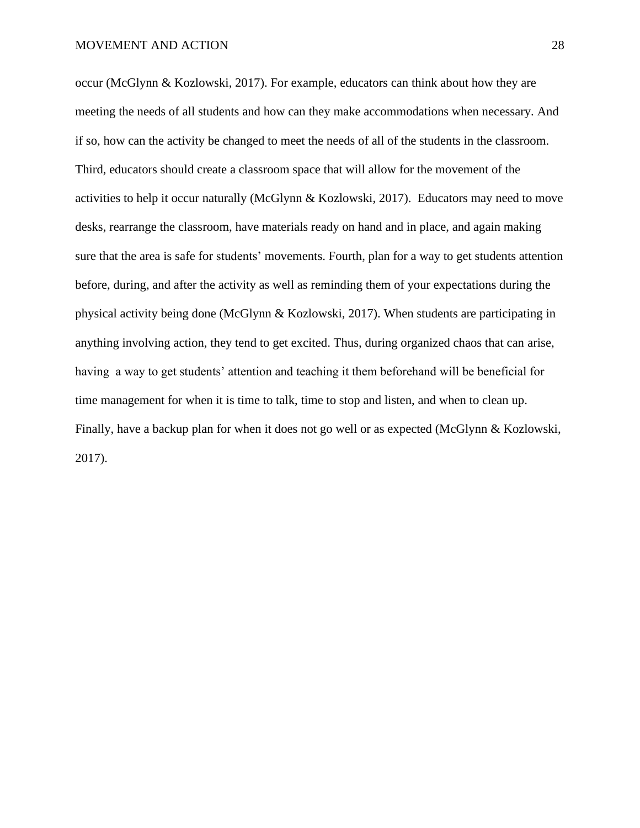occur (McGlynn & Kozlowski, 2017). For example, educators can think about how they are meeting the needs of all students and how can they make accommodations when necessary. And if so, how can the activity be changed to meet the needs of all of the students in the classroom. Third, educators should create a classroom space that will allow for the movement of the activities to help it occur naturally (McGlynn & Kozlowski, 2017). Educators may need to move desks, rearrange the classroom, have materials ready on hand and in place, and again making sure that the area is safe for students' movements. Fourth, plan for a way to get students attention before, during, and after the activity as well as reminding them of your expectations during the physical activity being done (McGlynn & Kozlowski, 2017). When students are participating in anything involving action, they tend to get excited. Thus, during organized chaos that can arise, having a way to get students' attention and teaching it them beforehand will be beneficial for time management for when it is time to talk, time to stop and listen, and when to clean up. Finally, have a backup plan for when it does not go well or as expected (McGlynn & Kozlowski, 2017).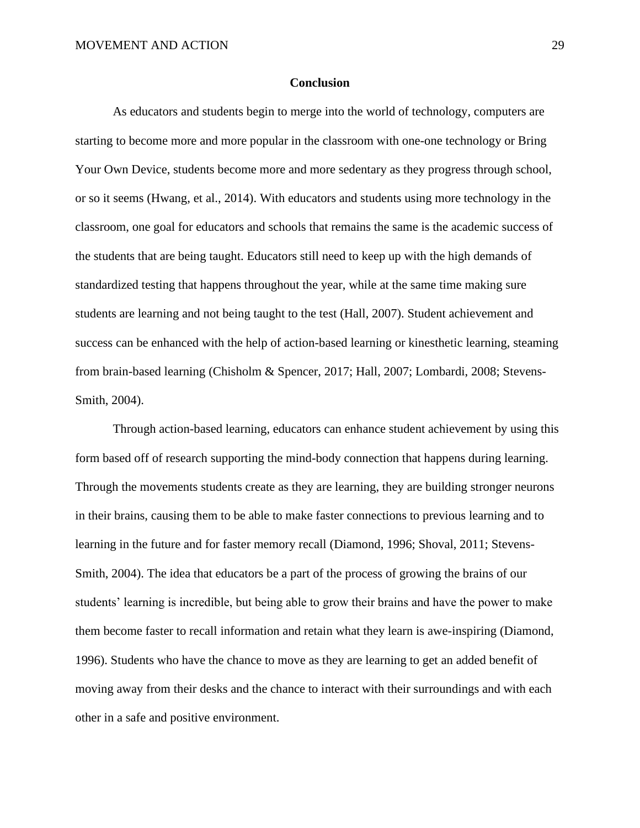#### **Conclusion**

As educators and students begin to merge into the world of technology, computers are starting to become more and more popular in the classroom with one-one technology or Bring Your Own Device, students become more and more sedentary as they progress through school, or so it seems (Hwang, et al., 2014). With educators and students using more technology in the classroom, one goal for educators and schools that remains the same is the academic success of the students that are being taught. Educators still need to keep up with the high demands of standardized testing that happens throughout the year, while at the same time making sure students are learning and not being taught to the test (Hall, 2007). Student achievement and success can be enhanced with the help of action-based learning or kinesthetic learning, steaming from brain-based learning (Chisholm & Spencer, 2017; Hall, 2007; Lombardi, 2008; Stevens-Smith, 2004).

Through action-based learning, educators can enhance student achievement by using this form based off of research supporting the mind-body connection that happens during learning. Through the movements students create as they are learning, they are building stronger neurons in their brains, causing them to be able to make faster connections to previous learning and to learning in the future and for faster memory recall (Diamond, 1996; Shoval, 2011; Stevens-Smith, 2004). The idea that educators be a part of the process of growing the brains of our students' learning is incredible, but being able to grow their brains and have the power to make them become faster to recall information and retain what they learn is awe-inspiring (Diamond, 1996). Students who have the chance to move as they are learning to get an added benefit of moving away from their desks and the chance to interact with their surroundings and with each other in a safe and positive environment.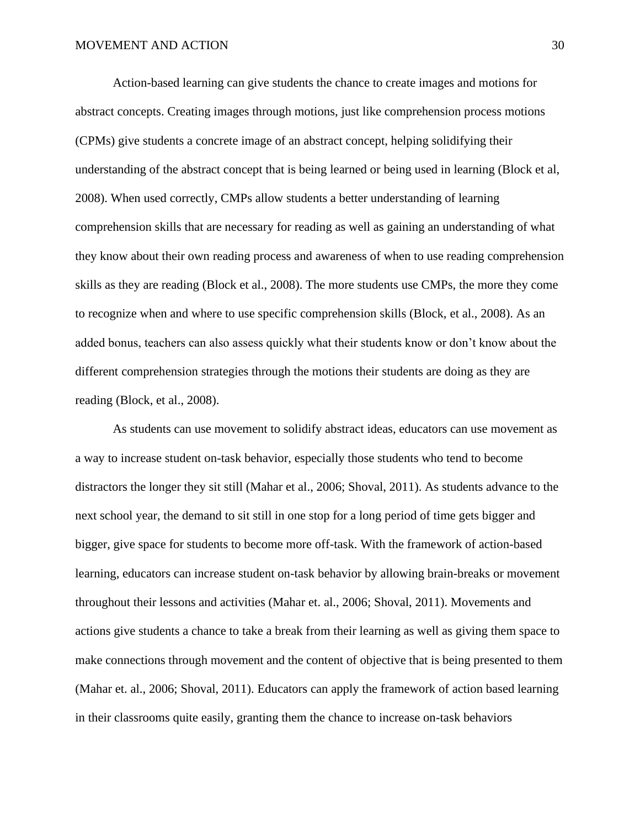Action-based learning can give students the chance to create images and motions for abstract concepts. Creating images through motions, just like comprehension process motions (CPMs) give students a concrete image of an abstract concept, helping solidifying their understanding of the abstract concept that is being learned or being used in learning (Block et al, 2008). When used correctly, CMPs allow students a better understanding of learning comprehension skills that are necessary for reading as well as gaining an understanding of what they know about their own reading process and awareness of when to use reading comprehension skills as they are reading (Block et al., 2008). The more students use CMPs, the more they come to recognize when and where to use specific comprehension skills (Block, et al., 2008). As an added bonus, teachers can also assess quickly what their students know or don't know about the different comprehension strategies through the motions their students are doing as they are reading (Block, et al., 2008).

As students can use movement to solidify abstract ideas, educators can use movement as a way to increase student on-task behavior, especially those students who tend to become distractors the longer they sit still (Mahar et al., 2006; Shoval, 2011). As students advance to the next school year, the demand to sit still in one stop for a long period of time gets bigger and bigger, give space for students to become more off-task. With the framework of action-based learning, educators can increase student on-task behavior by allowing brain-breaks or movement throughout their lessons and activities (Mahar et. al., 2006; Shoval, 2011). Movements and actions give students a chance to take a break from their learning as well as giving them space to make connections through movement and the content of objective that is being presented to them (Mahar et. al., 2006; Shoval, 2011). Educators can apply the framework of action based learning in their classrooms quite easily, granting them the chance to increase on-task behaviors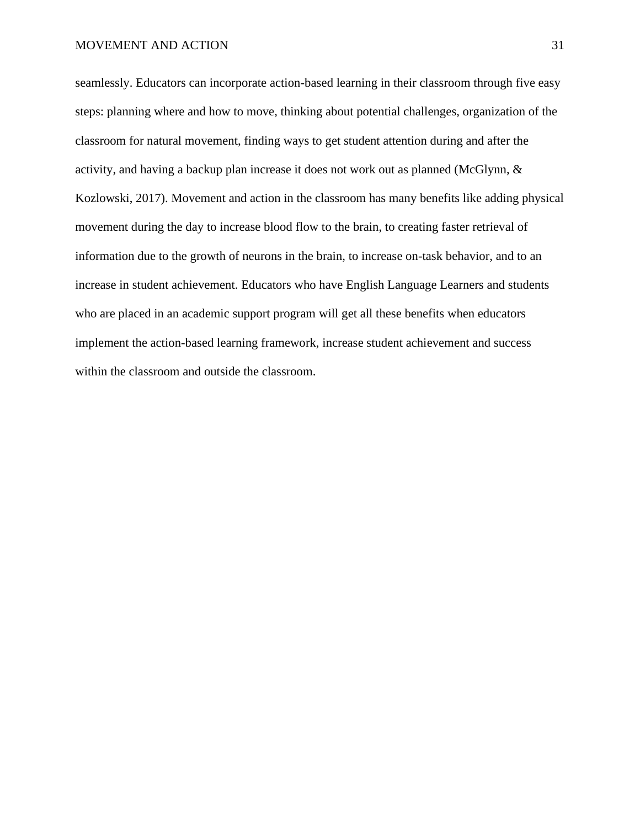seamlessly. Educators can incorporate action-based learning in their classroom through five easy steps: planning where and how to move, thinking about potential challenges, organization of the classroom for natural movement, finding ways to get student attention during and after the activity, and having a backup plan increase it does not work out as planned (McGlynn, & Kozlowski, 2017). Movement and action in the classroom has many benefits like adding physical movement during the day to increase blood flow to the brain, to creating faster retrieval of information due to the growth of neurons in the brain, to increase on-task behavior, and to an increase in student achievement. Educators who have English Language Learners and students who are placed in an academic support program will get all these benefits when educators implement the action-based learning framework, increase student achievement and success within the classroom and outside the classroom.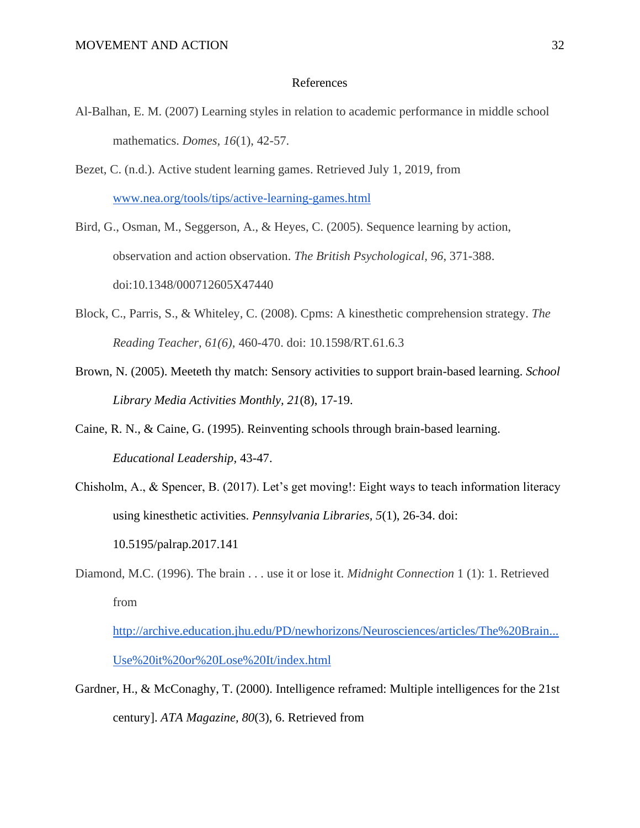#### References

- Al-Balhan, E. M. (2007) Learning styles in relation to academic performance in middle school mathematics. *Domes, 16*(1), 42-57.
- Bezet, C. (n.d.). Active student learning games. Retrieved July 1, 2019, from [www.nea.org/tools/tips/active-learning-games.html](http://www.nea.org/tools/tips/active-learning-games.html)
- Bird, G., Osman, M., Seggerson, A., & Heyes, C. (2005). Sequence learning by action, observation and action observation. *The British Psychological, 96*, 371-388. doi:10.1348/000712605X47440
- Block, C., Parris, S., & Whiteley, C. (2008). Cpms: A kinesthetic comprehension strategy. *The Reading Teacher, 61(6),* 460-470. doi: 10.1598/RT.61.6.3
- Brown, N. (2005). Meeteth thy match: Sensory activities to support brain-based learning. *School Library Media Activities Monthly, 21*(8), 17-19.
- Caine, R. N., & Caine, G. (1995). Reinventing schools through brain-based learning. *Educational Leadership,* 43-47.
- Chisholm, A., & Spencer, B. (2017). Let's get moving!: Eight ways to teach information literacy using kinesthetic activities. *Pennsylvania Libraries, 5*(1), 26-34. doi: 10.5195/palrap.2017.141
- Diamond, M.C. (1996). The brain . . . use it or lose it. *Midnight Connection* 1 (1): 1. Retrieved from

[http://archive.education.jhu.edu/PD/newhorizons/Neurosciences/articles/The%20Brain...](http://archive.education.jhu.edu/PD/newhorizons/Neurosciences/articles/The%20Brain...Use%20it%20or%20Lose%20It/index.html) [Use%20it%20or%20Lose%20It/index.html](http://archive.education.jhu.edu/PD/newhorizons/Neurosciences/articles/The%20Brain...Use%20it%20or%20Lose%20It/index.html)

Gardner, H., & McConaghy, T. (2000). Intelligence reframed: Multiple intelligences for the 21st century]. *ATA Magazine, 80*(3), 6. Retrieved from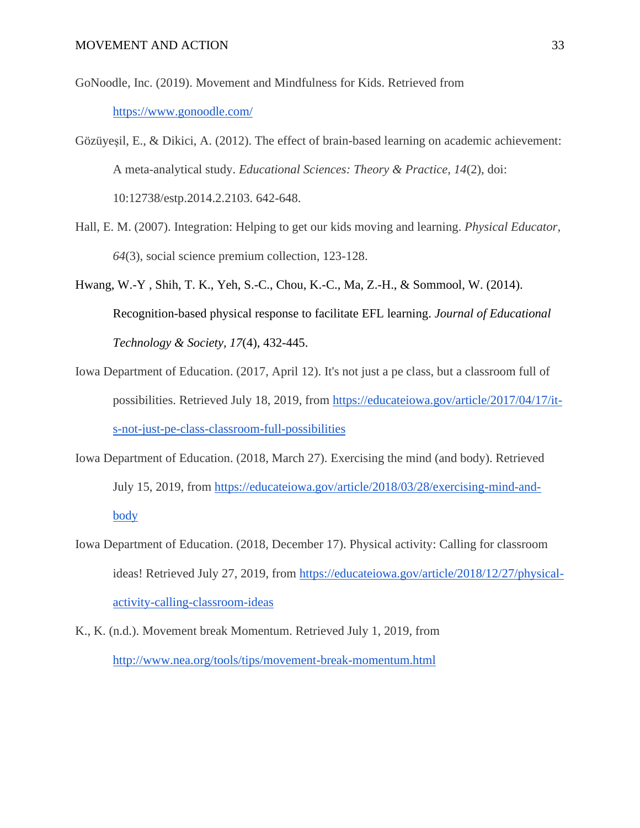GoNoodle, Inc. (2019). Movement and Mindfulness for Kids. Retrieved from <https://www.gonoodle.com/>

- Gözüyeşil, E., & Dikici, A. (2012). The effect of brain-based learning on academic achievement: A meta-analytical study. *Educational Sciences: Theory & Practice, 14*(2), doi: 10:12738/estp.2014.2.2103. 642-648.
- Hall, E. M. (2007). Integration: Helping to get our kids moving and learning. *Physical Educator, 64*(3), social science premium collection, 123-128.
- Hwang, W.-Y , Shih, T. K., Yeh, S.-C., Chou, K.-C., Ma, Z.-H., & Sommool, W. (2014). Recognition-based physical response to facilitate EFL learning. *Journal of Educational Technology & Society, 17*(4), 432-445.
- Iowa Department of Education. (2017, April 12). It's not just a pe class, but a classroom full of possibilities. Retrieved July 18, 2019, from [https://educateiowa.gov/article/2017/04/17/it](https://educateiowa.gov/article/2017/04/17/it-s-not-just-pe-class-classroom-full-possibilities)[s-not-just-pe-class-classroom-full-possibilities](https://educateiowa.gov/article/2017/04/17/it-s-not-just-pe-class-classroom-full-possibilities)
- Iowa Department of Education. (2018, March 27). Exercising the mind (and body). Retrieved July 15, 2019, from [https://educateiowa.gov/article/2018/03/28/exercising-mind-and](https://educateiowa.gov/article/2018/03/28/exercising-mind-and-body)[body](https://educateiowa.gov/article/2018/03/28/exercising-mind-and-body)
- Iowa Department of Education. (2018, December 17). Physical activity: Calling for classroom ideas! Retrieved July 27, 2019, from [https://educateiowa.gov/article/2018/12/27/physical](https://educateiowa.gov/article/2018/12/27/physical-activity-calling-classroom-ideas)[activity-calling-classroom-ideas](https://educateiowa.gov/article/2018/12/27/physical-activity-calling-classroom-ideas)
- K., K. (n.d.). Movement break Momentum. Retrieved July 1, 2019, from <http://www.nea.org/tools/tips/movement-break-momentum.html>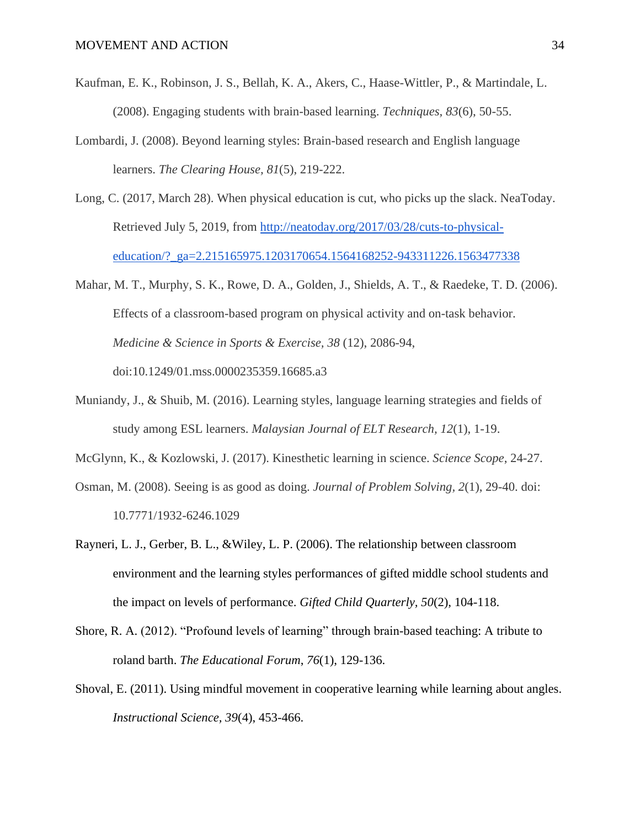- Kaufman, E. K., Robinson, J. S., Bellah, K. A., Akers, C., Haase-Wittler, P., & Martindale, L. (2008). Engaging students with brain-based learning. *Techniques, 83*(6), 50-55.
- Lombardi, J. (2008). Beyond learning styles: Brain-based research and English language learners. *The Clearing House, 81*(5), 219-222.
- Long, C. (2017, March 28). When physical education is cut, who picks up the slack. NeaToday. Retrieved July 5, 2019, from [http://neatoday.org/2017/03/28/cuts-to-physical](http://neatoday.org/2017/03/28/cuts-to-physical-education/?_ga=2.215165975.1203170654.1564168252-943311226.1563477338)[education/?\\_ga=2.215165975.1203170654.1564168252-943311226.1563477338](http://neatoday.org/2017/03/28/cuts-to-physical-education/?_ga=2.215165975.1203170654.1564168252-943311226.1563477338)
- Mahar, M. T., Murphy, S. K., Rowe, D. A., Golden, J., Shields, A. T., & Raedeke, T. D. (2006). Effects of a classroom-based program on physical activity and on-task behavior. *Medicine & Science in Sports & Exercise, 38* (12), 2086-94, doi:10.1249/01.mss.0000235359.16685.a3
- Muniandy, J., & Shuib, M. (2016). Learning styles, language learning strategies and fields of study among ESL learners. *Malaysian Journal of ELT Research, 12*(1), 1-19.
- McGlynn, K., & Kozlowski, J. (2017). Kinesthetic learning in science. *Science Scope*, 24-27.
- Osman, M. (2008). Seeing is as good as doing. *Journal of Problem Solving, 2*(1), 29-40. doi: 10.7771/1932-6246.1029
- Rayneri, L. J., Gerber, B. L., &Wiley, L. P. (2006). The relationship between classroom environment and the learning styles performances of gifted middle school students and the impact on levels of performance. *Gifted Child Quarterly, 50*(2), 104-118.
- Shore, R. A. (2012). "Profound levels of learning" through brain-based teaching: A tribute to roland barth. *The Educational Forum*, *76*(1), 129-136.
- Shoval, E. (2011). Using mindful movement in cooperative learning while learning about angles. *Instructional Science, 39*(4), 453-466.